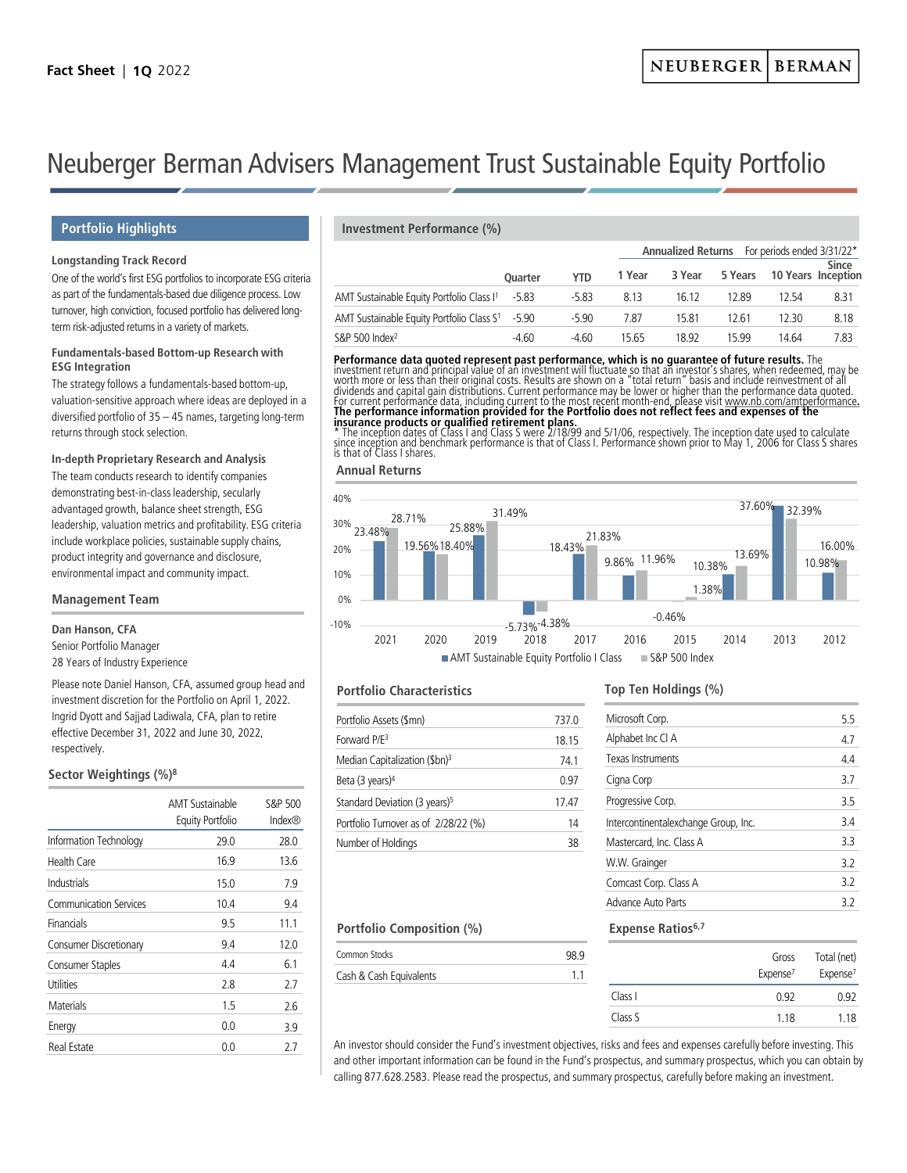**Annualized Returns** For periods ended 3/31/22\*

# Neuberger Berman Advisers Management Trust Sustainable Equity Portfolio

# **Longstanding Track Record**

One of the world's first ESG portfolios to incorporate ESG criteria as part of the fundamentals-based due diligence process. Low turnover, high conviction, focused portfolio has delivered longterm risk-adjusted returns in a variety of markets.

### **Fundamentals-based Bottom-up Research with ESG Integration**

The strategy follows a fundamentals-based bottom-up, valuation-sensitive approach where ideas are deployed in a diversified portfolio of 35 – 45 names, targeting long-term returns through stock selection.

# **In-depth Proprietary Research and Analysis**

The team conducts research to identify companies demonstrating best-in-class leadership, secularly advantaged growth, balance sheet strength, ESG leadership, valuation metrics and profitability. ESG criteria include workplace policies, sustainable supply chains, product integrity and governance and disclosure, environmental impact and community impact.

### **Management Team**

# **Dan Hanson, CFA**

Senior Portfolio Manager 28 Years of Industry Experience

Please note Daniel Hanson, CFA, assumed group head and investment discretion for the Portfolio on April 1, 2022. Ingrid Dyott and Sajjad Ladiwala, CFA, plan to retire effective December 31, 2022 and June 30, 2022, respectively.

# **Sector Weightings (%)8**

|                               | AMT Sustainable<br><b>Equity Portfolio</b> | S&P 500<br>Index® |
|-------------------------------|--------------------------------------------|-------------------|
| Information Technology        | 29.0                                       | 28.0              |
| Health Care                   | 16.9                                       | 13.6              |
| Industrials                   | 15.0                                       | 7.9               |
| <b>Communication Services</b> | 10.4                                       | 9.4               |
| Financials                    | 9.5                                        | 11.1              |
| Consumer Discretionary        | 9.4                                        | 12.0              |
| Consumer Staples              | 4.4                                        | 6.1               |
| Utilities                     | 2.8                                        | 2.7               |
| Materials                     | 1.5                                        | 2.6               |
| Energy                        | 0.0                                        | 3.9               |
| Real Estate                   | 0.0                                        | 27                |

# **Portfolio Highlights Investment Performance (%)**

|                                                             |                |            |        | Annualized Returns For periods ended 3/31/22 |       |                            |              |  |
|-------------------------------------------------------------|----------------|------------|--------|----------------------------------------------|-------|----------------------------|--------------|--|
|                                                             | <b>Ouarter</b> | <b>YTD</b> | 1 Year | 3 Year                                       |       | 5 Years 10 Years Inception | <b>Since</b> |  |
| AMT Sustainable Equity Portfolio Class I <sup>1</sup> -5.83 |                | $-5.83$    | 8.13   | 16.12                                        | 12.89 | 12.54                      | 8.31         |  |
| AMT Sustainable Equity Portfolio Class $S^1$ -5.90          |                | $-5.90$    | 7.87   | 15.81                                        | 12.61 | 12.30                      | 8.18         |  |
| S&P 500 Index $2$                                           | $-4.60$        | -4 60      | 15.65  | 1892                                         | 15 99 | 14.64                      | 7.83         |  |

**Performance data quoted represent past performance, which is no guarantee of future results.** The investment return and principal value of an investment will fluctuate so that an investment will fluctuate so that an inves

# **Annual Returns**



### **Portfolio Characteristics**

Common Stocks

Cash & Cash Equivalents

**Portfolio Composition (%)**

| 737.0 |
|-------|
| 18.15 |
| 741   |
| 0 97  |
| 17.47 |
| 14    |
| 38    |
|       |

# **Top Ten Holdings (%)**

| Microsoft Corp.                      | 5.5 |
|--------------------------------------|-----|
| Alphabet Inc Cl A                    | 4.7 |
| Texas Instruments                    | 44  |
| Cigna Corp                           | 3.7 |
| Progressive Corp.                    | 3.5 |
| Intercontinentalexchange Group, Inc. | 34  |
| Mastercard, Inc. Class A             | 33  |
| W.W. Grainger                        | 32  |
| Comcast Corp. Class A                | 32  |
| Advance Auto Parts                   | 32  |
|                                      |     |

### **Expense Ratios**<sup>6,7</sup>

|         | Gross<br>Expense <sup>7</sup> | Total (net)<br>Expense <sup>7</sup> |
|---------|-------------------------------|-------------------------------------|
| Class I | 0.92                          | 0.92                                |
| Class S | 1 1 8                         | 1 1 8                               |

An investor should consider the Fund's investment objectives, risks and fees and expenses carefully before investing. This and other important information can be found in the Fund's prospectus, and summary prospectus, which you can obtain by calling 877.628.2583. Please read the prospectus, and summary prospectus, carefully before making an investment.

98.9 1.1